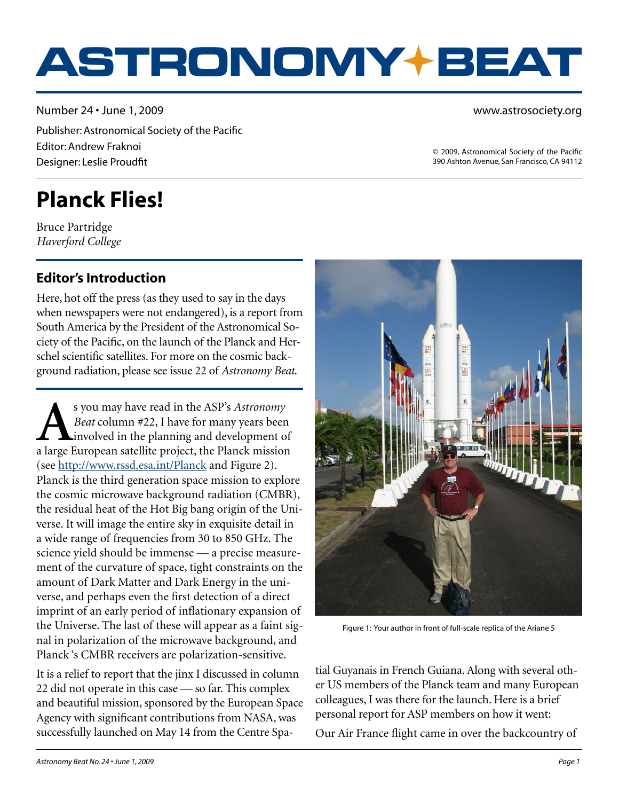# **ASTRONOMY BEAT**

Number 24 • June 1, 2009 Publisher: Astronomical Society of the Pacific Editor: Andrew Fraknoi Designer: Leslie Proudfit

www.astrosociety.org

© 2009, Astronomical Society of the Pacific 390 Ashton Avenue, San Francisco, CA 94112

## **Planck Flies!**

Bruce Partridge *Haverford College*

#### **Editor's Introduction**

Here, hot off the press (as they used to say in the days<br>when newspapers were not endangered), is a report from<br>South America by the President of the Astronomical So-<br>ciety of the Pacific, on the launch of the Planck and H Here, hot off the press (as they used to say in the days when newspapers were not endangered), is a report from South America by the President of the Astronomical Society of the Pacific, on the launch of the Planck and Herschel scientific satellites. For more on the cosmic background radiation, please see issue 22 of *Astronomy Beat*.

s you may have read in the ASP's *Astronomy*<br>*Beat* column #22, I have for many years been<br>involved in the planning and development of<br>a large Furonean satellite project, the Planck mission *Beat* column #22, I have for many years been involved in the planning and development of a large European satellite project, the Planck mission (see <http://www.rssd.esa.int/Planck> and Figure 2). Planck is the third generation space mission to explore the cosmic microwave background radiation (CMBR), the residual heat of the Hot Big bang origin of the Universe. It will image the entire sky in exquisite detail in a wide range of frequencies from 30 to 850 GHz. The science yield should be immense — a precise measurement of the curvature of space, tight constraints on the amount of Dark Matter and Dark Energy in the universe, and perhaps even the first detection of a direct imprint of an early period of inflationary expansion of the Universe. The last of these will appear as a faint signal in polarization of the microwave background, and Planck 's CMBR receivers are polarization-sensitive.

It is a relief to report that the jinx I discussed in column 22 did not operate in this case — so far. This complex and beautiful mission, sponsored by the European Space Agency with significant contributions from NASA, was successfully launched on May 14 from the Centre Spa-



Figure 1: Your author in front of full-scale replica of the Ariane 5

tial Guyanais in French Guiana. Along with several other US members of the Planck team and many European colleagues, I was there for the launch. Here is a brief personal report for ASP members on how it went:

Our Air France flight came in over the backcountry of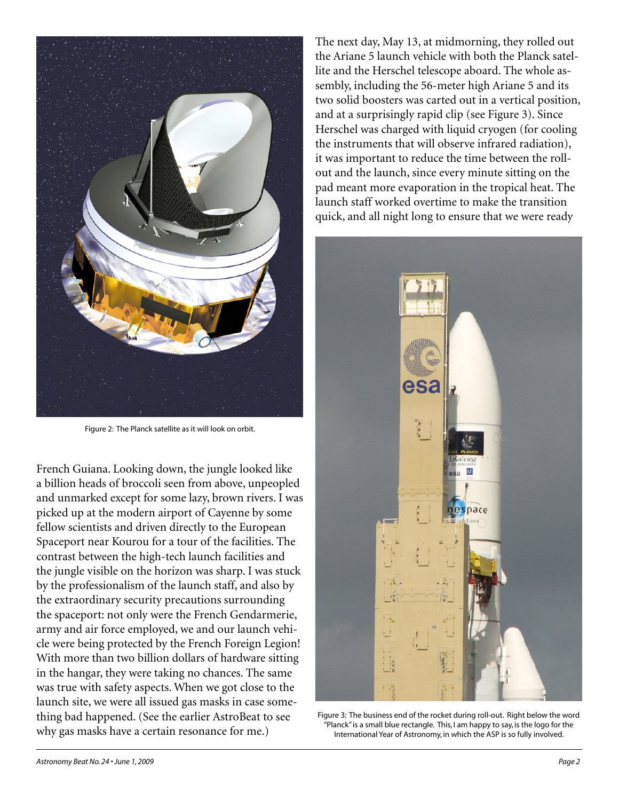

Figure 2: The Planck satellite as it will look on orbit.

French Guiana. Looking down, the jungle looked like a billion heads of broccoli seen from above, unpeopled and unmarked except for some lazy, brown rivers. I was picked up at the modern airport of Cayenne by some fellow scientists and driven directly to the European Spaceport near Kourou for a tour of the facilities. The contrast between the high-tech launch facilities and the jungle visible on the horizon was sharp. I was stuck by the professionalism of the launch staff, and also by the extraordinary security precautions surrounding the spaceport: not only were the French Gendarmerie, army and air force employed, we and our launch vehicle were being protected by the French Foreign Legion! With more than two billion dollars of hardware sitting in the hangar, they were taking no chances. The same was true with safety aspects. When we got close to the launch site, we were all issued gas masks in case something bad happened. (See the earlier AstroBeat to see why gas masks have a certain resonance for me.)

The next day, May 13, at midmorning, they rolled out the Ariane 5 launch vehicle with both the Planck satellite and the Herschel telescope aboard. The whole assembly, including the 56-meter high Ariane 5 and its two solid boosters was carted out in a vertical position, and at a surprisingly rapid clip (see Figure 3). Since Herschel was charged with liquid cryogen (for cooling the instruments that will observe infrared radiation), it was important to reduce the time between the rollout and the launch, since every minute sitting on the pad meant more evaporation in the tropical heat. The launch staff worked overtime to make the transition quick, and all night long to ensure that we were ready



Figure 3: The business end of the rocket during roll-out. Right below the word "Planck" is a small blue rectangle. This, I am happy to say, is the logo for the International Year of Astronomy, in which the ASP is so fully involved.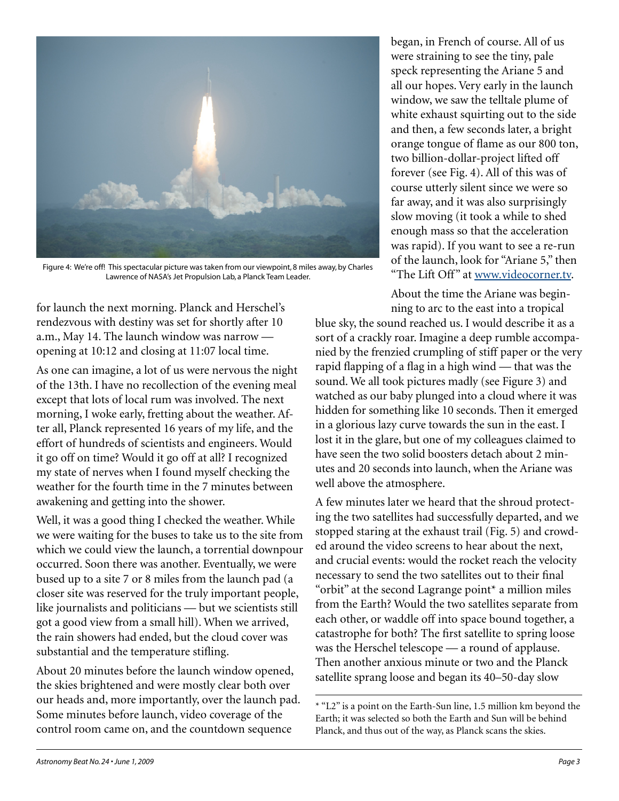

Figure 4: We're off! This spectacular picture was taken from our viewpoint, 8 miles away, by Charles Lawrence of NASA's Jet Propulsion Lab, a Planck Team Leader.

for launch the next morning. Planck and Herschel's rendezvous with destiny was set for shortly after 10 a.m., May 14. The launch window was narrow opening at 10:12 and closing at 11:07 local time.

As one can imagine, a lot of us were nervous the night of the 13th. I have no recollection of the evening meal except that lots of local rum was involved. The next morning, I woke early, fretting about the weather. After all, Planck represented 16 years of my life, and the effort of hundreds of scientists and engineers. Would it go off on time? Would it go off at all? I recognized my state of nerves when I found myself checking the weather for the fourth time in the 7 minutes between awakening and getting into the shower.

Well, it was a good thing I checked the weather. While we were waiting for the buses to take us to the site from which we could view the launch, a torrential downpour occurred. Soon there was another. Eventually, we were bused up to a site 7 or 8 miles from the launch pad (a closer site was reserved for the truly important people, like journalists and politicians — but we scientists still got a good view from a small hill). When we arrived, the rain showers had ended, but the cloud cover was substantial and the temperature stifling.

About 20 minutes before the launch window opened, the skies brightened and were mostly clear both over our heads and, more importantly, over the launch pad. Some minutes before launch, video coverage of the control room came on, and the countdown sequence

began, in French of course. All of us were straining to see the tiny, pale speck representing the Ariane 5 and all our hopes. Very early in the launch window, we saw the telltale plume of white exhaust squirting out to the side and then, a few seconds later, a bright orange tongue of flame as our 800 ton, two billion-dollar-project lifted off forever (see Fig. 4). All of this was of course utterly silent since we were so far away, and it was also surprisingly slow moving (it took a while to shed enough mass so that the acceleration was rapid). If you want to see a re-run of the launch, look for "Ariane 5," then "The Lift Off" at [www.videocorner.tv](http://www.videocorner.tv).

About the time the Ariane was beginning to arc to the east into a tropical

blue sky, the sound reached us. I would describe it as a sort of a crackly roar. Imagine a deep rumble accompanied by the frenzied crumpling of stiff paper or the very rapid flapping of a flag in a high wind — that was the sound. We all took pictures madly (see Figure 3) and watched as our baby plunged into a cloud where it was hidden for something like 10 seconds. Then it emerged in a glorious lazy curve towards the sun in the east. I lost it in the glare, but one of my colleagues claimed to have seen the two solid boosters detach about 2 minutes and 20 seconds into launch, when the Ariane was well above the atmosphere.

A few minutes later we heard that the shroud protecting the two satellites had successfully departed, and we stopped staring at the exhaust trail (Fig. 5) and crowded around the video screens to hear about the next, and crucial events: would the rocket reach the velocity necessary to send the two satellites out to their final "orbit" at the second Lagrange point\* a million miles from the Earth? Would the two satellites separate from each other, or waddle off into space bound together, a catastrophe for both? The first satellite to spring loose was the Herschel telescope — a round of applause. Then another anxious minute or two and the Planck satellite sprang loose and began its 40–50-day slow

<sup>\* &</sup>quot;L2" is a point on the Earth-Sun line, 1.5 million km beyond the Earth; it was selected so both the Earth and Sun will be behind Planck, and thus out of the way, as Planck scans the skies.